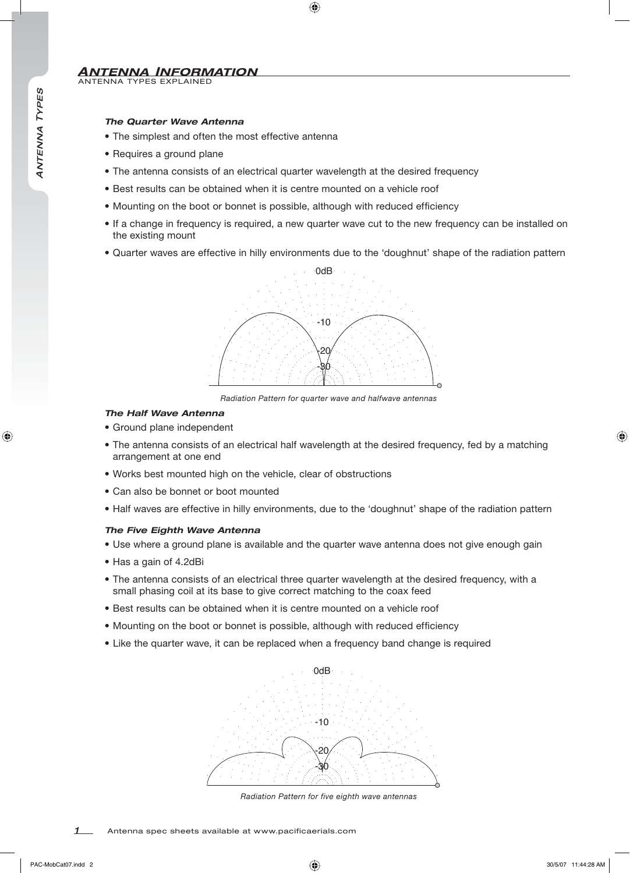# *The Quarter Wave Antenna*

- The simplest and often the most effective antenna
- Requires a ground plane
- The antenna consists of an electrical quarter wavelength at the desired frequency
- Best results can be obtained when it is centre mounted on a vehicle roof
- Mounting on the boot or bonnet is possible, although with reduced efficiency
- If a change in frequency is required, a new quarter wave cut to the new frequency can be installed on the existing mount
- Quarter waves are effective in hilly environments due to the 'doughnut' shape of the radiation pattern



*Radiation Pattern for quarter wave and halfwave antennas*

#### *The Half Wave Antenna*

- Ground plane independent
- The antenna consists of an electrical half wavelength at the desired frequency, fed by a matching arrangement at one end
- Works best mounted high on the vehicle, clear of obstructions
- Can also be bonnet or boot mounted
- Half waves are effective in hilly environments, due to the 'doughnut' shape of the radiation pattern

#### *The Five Eighth Wave Antenna*

- Use where a ground plane is available and the quarter wave antenna does not give enough gain
- Has a gain of 4.2dBi
- The antenna consists of an electrical three quarter wavelength at the desired frequency, with a small phasing coil at its base to give correct matching to the coax feed
- Best results can be obtained when it is centre mounted on a vehicle roof
- Mounting on the boot or bonnet is possible, although with reduced efficiency
- Like the quarter wave, it can be replaced when a frequency band change is required



*Radiation Pattern for five eighth wave antennas*